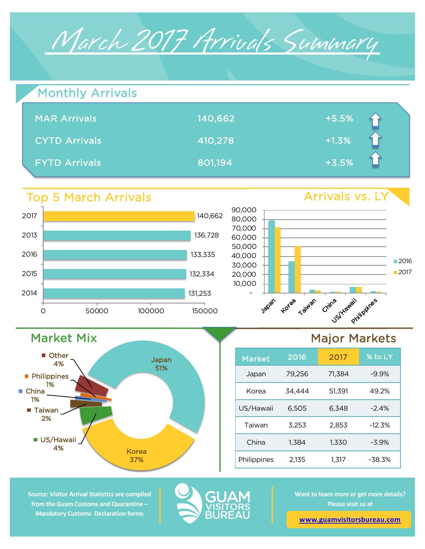

| Monthly Arrivals     |         |         |  |
|----------------------|---------|---------|--|
| <b>MAR Arrivals</b>  | 140,662 | $+5.5%$ |  |
| <b>CYTD Arrivals</b> | 410,278 | $+1.3%$ |  |
| <b>FYTD Arrivals</b> | 801,194 | $+3.5%$ |  |

# Top 5 March Arrivals

Market Mix

Other 4%

■ US/Hawaii 4%

■ Taiwan 2%

**Philippines** 1%

China 1%



Japan 51%

Korea 37%



# Major Markets

| <b>Market</b> | 2016   | 2017   | % to LY  |
|---------------|--------|--------|----------|
| Japan         | 79,256 | 71.384 | $-9.9%$  |
| Korea         | 34.444 | 51.391 | 49.2%    |
| US/Hawaii     | 6,505  | 6.348  | $-2.4%$  |
| Taiwan        | 3,253  | 2,853  | $-12.3%$ |
| China         | 1.384  | 1.330  | $-3.9%$  |
| Philippines   | 2.135  | 1.317  | $-38.3%$ |

**Source: Visitor Arrival Statistics are compiled from the Guam Customs and Quarantine – Mandatory Customs Declaration forms** 



**Want to learn more or get more details? Please visit us at** 

**www.guamvisitorsbureau.com**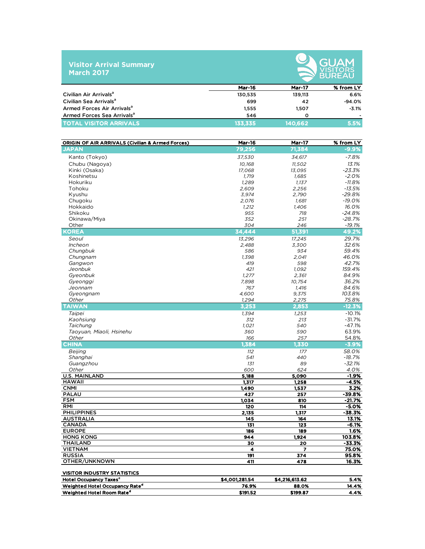### **Visitor Arrival Summary March 2017**



|                                        | <b>Mar-16</b> | <b>Mar-17</b> | % from LY |
|----------------------------------------|---------------|---------------|-----------|
| Civilian Air Arrivals <sup>a</sup>     | 130.535       | 139.113       | 6.6%      |
| Civilian Sea Arrivals <sup>a</sup>     | 699           | 42            | $-94.0%$  |
| Armed Forces Air Arrivals <sup>a</sup> | 1.555         | 1.507         | $-3.1%$   |
| Armed Forces Sea Arrivals <sup>a</sup> | 546           | Ω             |           |
| <b>TOTAL VISITOR ARRIVALS</b>          | 133.335       | 140.662       | 5.5%      |

| <b>ORIGIN OF AIR ARRIVALS (Civilian &amp; Armed Forces)</b> | <b>Mar-16</b>  | <b>Mar-17</b>  | % from LY         |
|-------------------------------------------------------------|----------------|----------------|-------------------|
| <b>JAPAN</b>                                                | 79,256         | 71,384         | $-9.9%$           |
| Kanto (Tokyo)                                               | 37,530         | 34,617         | $-7.8%$           |
| Chubu (Nagoya)                                              | 10,168         | 11,502         | 13.1%             |
| Kinki (Osaka)                                               | 17,068         | 13,095         | $-23.3%$          |
| Koshinetsu                                                  | 1,719          | 1,685          | $-2.0%$           |
| Hokuriku                                                    | 1,289          | 1,137          | $-11.8%$          |
| Tohoku                                                      | 2,609          | 2,256          | $-13.5%$          |
| Kyushu                                                      | 3,974          | 2,790          | $-29.8%$          |
| Chugoku                                                     | 2,076          | 1,681          | $-19.0%$          |
| Hokkaido                                                    | 1,212          | 1,406          | 16.0%             |
| Shikoku                                                     | 955            | 718            | $-24.8%$          |
| Okinawa/Miya                                                | 352            | 251            | $-28.7%$          |
| Other                                                       | 304            | 246            | $-19.1%$          |
| <b>KOREA</b>                                                | 34,444         | 51,391         | 49.2%             |
| Seoul                                                       | 13,296         | 17,245         | 29.7%             |
| Incheon                                                     | 2,488          | 3,300          | 32.6%             |
| Chungbuk                                                    | 586            | 934            | 59.4%             |
| Chungnam                                                    | 1,398          | 2,041          | 46.0%             |
| Gangwon                                                     | 419            | 598            | 42.7%             |
| Jeonbuk                                                     | 421            | 1,092          | 159.4%            |
| Gyeonbuk                                                    | 1,277          | 2,361          | 84.9%             |
| Gyeonggi                                                    | 7,898          | 10,754         | 36.2%             |
| Jeonnam                                                     | 767            | 1.416          | 84.6%             |
| Gyeongnam                                                   | 4,600          | 9,375          | 103.8%            |
| Other                                                       | 1,294          | 2,275          | 75.8%             |
| <b>TAIWAN</b>                                               | 3,253          | 2,853          | $-12.3%$          |
| Taipei                                                      | 1,394          | 1,253          | $-10.1%$          |
| Kaohsiung                                                   | 312            | 213            | $-31.7%$          |
| Taichung                                                    | 1,021          | 540            | $-47.1%$          |
| Taoyuan, Miaoli, Hsinehu                                    | 360            | 590            | 63.9%             |
| Other                                                       | 166            | 257            | 54.8%             |
| <b>CHINA</b>                                                | 1,384          | 1,330          | $-3.9%$           |
| <b>Beijing</b>                                              | 112            | 177            | 58.0%             |
| Shanghai                                                    | 541            | 440            | $-18.7%$          |
| Guangzhou                                                   | 131            | 89             | $-32.1%$          |
| Other                                                       | 600            | 624            | 4.0%              |
| <b>U.S. MAINLAND</b>                                        | 5,188          | 5,090          | $-1.9%$           |
| <b>HAWAII</b>                                               | 1,317          | 1,258          | -4.5%             |
| <b>CNMI</b>                                                 | 1,490          | 1,537          | 3.2%              |
| <b>PALAU</b>                                                | 427            | 257            | $-39.8%$          |
| <b>FSM</b><br><b>RMI</b>                                    | 1,034          | 810            | $-21.7%$          |
| <b>PHILIPPINES</b>                                          | 120            | 114            | $-5.0%$           |
| <b>AUSTRALIA</b>                                            | 2,135<br>145   | 1,317<br>164   | $-38.3%$<br>13.1% |
| <b>CANADA</b>                                               | 131            | 123            | $-6.1%$           |
| <b>EUROPE</b>                                               | 186            | 189            | 7.6%              |
| <b>HONG KONG</b>                                            | 944            | 1,924          | 103.8%            |
| <b>THAILAND</b>                                             | 30             | 20             | $-33.3%$          |
| <b>VIETNAM</b>                                              | 4              | 7              | 75.0%             |
| <b>RUSSIA</b>                                               | 191            | 374            | 95.8%             |
| OTHER/UNKNOWN                                               | 411            | 478            | 16.3%             |
|                                                             |                |                |                   |
| <b>VISITOR INDUSTRY STATISTICS</b>                          |                |                |                   |
| <b>Hotel Occupancy Taxes<sup>c</sup></b>                    | \$4,001,281.54 | \$4,216,613.62 | 5.4%              |
| Weighted Hotel Occupancy Rate <sup>d</sup>                  | 76.9%          | 88.0%          | 14.4%             |
| Weighted Hotel Room Rate <sup>d</sup>                       | \$191.52       | \$199.87       | 4.4%              |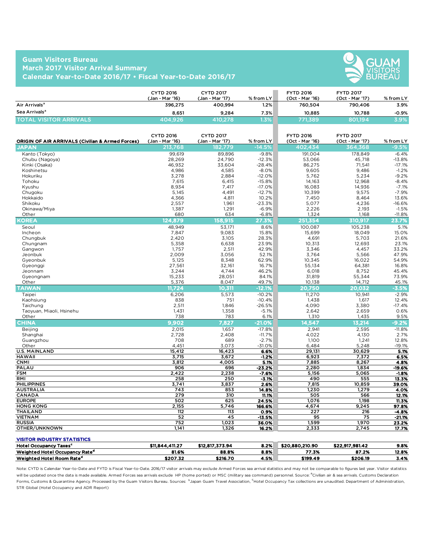### **Guam Visitors Bureau March 2017 Visitor Arrival Summary Calendar Year-to-Date 2016/17 • Fiscal Year-to-Date 2016/17**



|                                | <b>CYTD 2016</b><br>(Jan - Mar '16) | <b>CYTD 2017</b><br>(Jan - Mar '17) | $%$ from LY | <b>FYTD 2016</b><br>(Oct - Mar '16) | <b>FYTD 2017</b><br>(Oct - Mar '17) | % from LY |
|--------------------------------|-------------------------------------|-------------------------------------|-------------|-------------------------------------|-------------------------------------|-----------|
| Air Arrivals <sup>a</sup>      | 396.275                             | 400.994                             | $1.2\%$     | 760.504                             | 790,406                             | 3.9%      |
| Sea Arrivals <sup>a</sup>      | 8.651                               | 9.284                               | 7.3%        | 10.885                              | 10.788                              | $-0.9%$   |
| <b>TOTAL VISITOR ARRIVALS.</b> | 404.926                             | 410.278                             | .3%         | 771.389                             | 801.194                             | $3.9\%$   |

| <b>ORIGIN OF AIR ARRIVALS (Civilian &amp; Armed Forces)</b> | <b>CYTD 2016</b><br>(Jan - Mar '16) | <b>CYTD 2017</b><br>(Jan - Mar '17) | $%$ from LY | <b>FYTD 2016</b><br>(Oct - Mar '16) | <b>FYTD 2017</b><br>(Oct - Mar '17) | % from LY |
|-------------------------------------------------------------|-------------------------------------|-------------------------------------|-------------|-------------------------------------|-------------------------------------|-----------|
| <b>JAPAN</b>                                                | 213,768                             | <u>182,779</u>                      | $-14.5%$    | 402.434                             | 364,368                             | $-9.5%$   |
| Kanto (Tokyo)                                               | 99.619                              | 89,896                              | $-9.8%$     | 191.004                             | 178,849                             | $-6.4%$   |
| Chubu (Nagoya)                                              | 28,269                              | 24,790                              | $-12.3%$    | 53,066                              | 45,718                              | $-13.8%$  |
| Kinki (Osaka)                                               | 46,932                              | 33,604                              | $-28.4%$    | 86,275                              | 71,541                              | $-17.1%$  |
| Koshinetsu                                                  | 4,986                               | 4,585                               | $-8.0%$     | 9,605                               | 9,486                               | $-1.2%$   |
| Hokuriku                                                    | 3,278                               | 2,884                               | $-12.0%$    | 5,762                               | 5,234                               | $-9.2%$   |
| Tohoku                                                      | 7,615                               | 6,415                               | $-15.8%$    | 14,163                              | 12,968                              | $-8.4%$   |
| Kyushu                                                      | 8,934                               | 7,417                               | $-17.0%$    | 16,083                              | 14,936                              | $-7.1%$   |
| Chugoku                                                     | 5.145                               | 4,491                               | $-12.7%$    | 10,399                              | 9.575                               | $-7.9%$   |
| Hokkaido                                                    | 4,366                               | 4,811                               | 10.2%       | 7,450                               | 8,464                               | 13.6%     |
| Shikoku                                                     | 2,557                               | 1,961                               | $-23.3%$    | 5,077                               | 4,236                               | $-16.6%$  |
| Okinawa/Miya                                                | 1,387                               | 1,291                               | $-6.9%$     | 2,226                               | 2,193                               | $-1.5%$   |
| Other                                                       | 680                                 | 634                                 | $-6.8%$     | 1,324                               | 1,168                               | $-11.8%$  |
| KOREA                                                       | 124.879                             | 158,915                             | 27.3%       | 251.354                             | 310.917                             | 23.7%     |
| Seoul                                                       | 48,949                              | 53,171                              | 8.6%        | 100,087                             | 105,238                             | 5.1%      |
| Incheon                                                     | 7,847                               | 9,083                               | 15.8%       | 15,699                              | 18,049                              | 15.0%     |
| Chungbuk                                                    | 2,420                               | 3,105                               | 28.3%       | 4,691                               | 5,703                               | 21.6%     |
| Chungnam                                                    | 5,358                               | 6,638                               | 23.9%       | 10,313                              | 12,693                              | 23.1%     |
| Gangwon                                                     | 1,757                               | 2,511                               | 42.9%       | 3,346                               | 4,457                               | 33.2%     |
| Jeonbuk                                                     | 2,009                               | 3,056                               | 52.1%       | 3,764                               | 5,566                               | 47.9%     |
| Gyeonbuk                                                    | 5,125                               | 8,348                               | 62.9%       | 10,345                              | 16,022                              | 54.9%     |
| Gyeonggi                                                    | 27,561                              | 32,161                              | 16.7%       | 55,134                              | 64,381                              | 16.8%     |
| Jeonnam                                                     | 3,244                               | 4,744                               | 46.2%       | 6,018                               | 8,752                               | 45.4%     |
| Gyeongnam                                                   | 15,233                              | 28,051                              | 84.1%       | 31,819                              | 55,344                              | 73.9%     |
| Other                                                       | 5,376                               | 8.047                               | 49.7%       | 10,138                              | 14,712                              | 45.1%     |
| <b>TAIWAN</b>                                               | 11.724                              | 10.311                              | $-12.1%$    | 20,750                              | 20.032                              | $-3.5%$   |
| Taipei                                                      | 6,206                               | 5,573                               | $-10.2%$    | 11,270                              | 10,941                              | $-2.9%$   |
| Kaohsiung                                                   | 838                                 | 751                                 | $-10.4%$    | 1,438                               | 1,617                               | 12.4%     |
| Taichung                                                    | 2,511                               | 1,846                               | $-26.5%$    | 4,090                               | 3,380                               | $-17.4%$  |
| Taoyuan, Miaoli, Hsinehu                                    | 1,431                               | 1,358                               | $-5.1%$     | 2,642                               | 2,659                               | 0.6%      |
| Other                                                       | 738                                 | 783                                 | 6.1%        | 1,310                               | 1,435                               | 9.5%      |
| <b>CHINA</b>                                                | 9,902                               | 7,827                               | $-21.0%$    | 14,547                              | 13,214                              | $-9.2%$   |
| Beijing                                                     | 2,015                               | 1,657                               | $-17.8%$    | 2,941                               | 2,595                               | $-11.8%$  |
| Shanghai                                                    | 2,728                               | 2,408                               | $-11.7%$    | 4,022                               | 4,130                               | 2.7%      |
| Guangzhou                                                   | 708                                 | 689                                 | $-2.7%$     | 1,100                               | 1,241                               | 12.8%     |
| Other                                                       | 4.451                               | 3.073                               | $-31.0%$    | 6,484                               | 5,248                               | $-19.1%$  |
| <b>U.S. MAINLAND</b>                                        | 15,412                              | 16,423                              | 6.6%        | 29,131                              | 30,629                              | 5.1%      |
| <b>HAWAII</b>                                               | 3,715                               | 3,672                               | $-1.2%$     | 6,923                               | 7,372                               | 6.5%      |
| <b>CNMI</b>                                                 | 3,812                               | 4,005                               | 5.1%        | 7,885                               | 8,267                               | 4.8%      |
| PALAU                                                       | 906                                 | 696                                 | $-23.2%$    | 2,280                               | 1,834                               | $-19.6%$  |
| <b>FSM</b>                                                  | 2,422                               | 2,238                               | $-7.6%$     | 5,156                               | 5,065                               | $-1.8%$   |
| RMI                                                         | 258                                 | 250                                 | $-3.1%$     | 490                                 | 555                                 | 13.3%     |
| <b>PHILIPPINES</b>                                          | 3,741                               | 3,837                               | 2.6%        | 7,815                               | 10,859                              | 39.0%     |
| <b>AUSTRALIA</b>                                            | 743                                 | 853                                 | 14.8%       | 1,230                               | 1,279                               | 4.0%      |
| <b>CANADA</b>                                               | 279                                 | 310                                 | 11.1%       | 505                                 | 566                                 | 12.1%     |
| <b>EUROPE</b>                                               | 502                                 | 625                                 | 24.5%       | 1,076                               | 1,198                               | 11.3%     |
| <b>HONG KONG</b>                                            | 2,155                               | 5,746                               | 166.6%      | 4,674                               | 9,245                               | 97.8%     |
| <b>THAILAND</b>                                             | 112                                 | 113                                 | 0.9%        | 227                                 | 216                                 | $-4.8%$   |
| <b>VIETNAM</b>                                              | 52                                  | 45                                  | $-13.5%$    | 95                                  | 75                                  | $-21.1%$  |
| <b>RUSSIA</b>                                               | 752                                 | 1,023                               | 36.0%       | 1,599                               | 1,970                               | 23.2%     |
| OTHER/UNKNOWN                                               | 1.141                               | 1,326                               | 16.2%       | 2,333                               | 2,745                               | 17.7%     |

#### VISITOR INDUSTRY STATISTICS

| <b>Hotel Occupancy</b><br>v Taxes'         | 4.411.27<br>\$11,844 | \$12,817,373.94 | 8.2% | \$20,880,210.90 | \$22,917,981.42 | 9.8%  |
|--------------------------------------------|----------------------|-----------------|------|-----------------|-----------------|-------|
| Weighted Hotel Occupancy Rate <sup>d</sup> | 81.6%                | 88.8%           | 8.8% | 77.3%           | 87.2%           | 12.8% |
| Weighted Hotel Room Rate <sup>d</sup>      | \$207.32             | \$216.70        | 4.5% | \$199.49        | \$206.19        | 3.4%  |

Note: CYTD is Calendar Year-to-Date and FYTD is Fiscal Year-to-Date. 2016/17 visitor arrivals may exclude Armed Forces sea arrival statistics and may not be comparable to figures last year. Visitor statistics will be updated once the data is made available. Armed Forces sea arrivals exclude HP (home ported) or MSC (military sea command) personnel. Source: <sup>a</sup>Civilian air & sea arrivals. Customs Declaration Forms, Customs & Quarantine Agency. Processed by the Guam Visitors Bureau. Sources: 『Japan Guam Travel Association, <sup>C</sup>Hotel Occupancy Tax collections are unaudited. Department of Administration, STR Global (Hotel Occupancy and ADR Report)